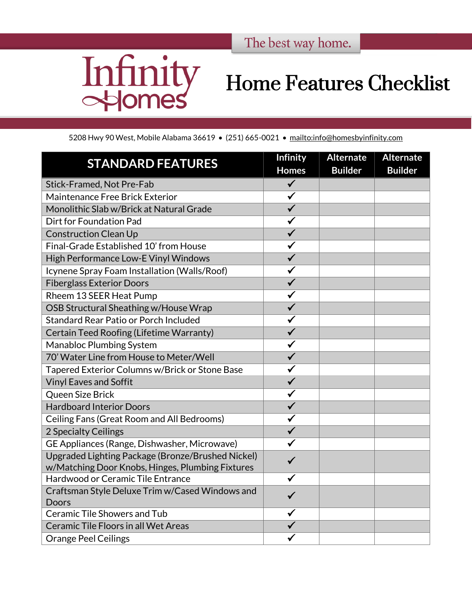

## Home Features Checklist

5208 Hwy 90 West, Mobile Alabama 36619 • (251) 665-0021 • <mailto:info@homesbyinfinity.com>

| <b>STANDARD FEATURES</b>                                                                              | <b>Infinity</b><br><b>Homes</b> | <b>Alternate</b><br><b>Builder</b> | <b>Alternate</b><br><b>Builder</b> |
|-------------------------------------------------------------------------------------------------------|---------------------------------|------------------------------------|------------------------------------|
| Stick-Framed, Not Pre-Fab                                                                             | $\checkmark$                    |                                    |                                    |
| Maintenance Free Brick Exterior                                                                       | $\checkmark$                    |                                    |                                    |
| Monolithic Slab w/Brick at Natural Grade                                                              | $\checkmark$                    |                                    |                                    |
| Dirt for Foundation Pad                                                                               | $\checkmark$                    |                                    |                                    |
| <b>Construction Clean Up</b>                                                                          | $\overline{\checkmark}$         |                                    |                                    |
| Final-Grade Established 10' from House                                                                | $\checkmark$                    |                                    |                                    |
| High Performance Low-E Vinyl Windows                                                                  | $\overline{\checkmark}$         |                                    |                                    |
| Icynene Spray Foam Installation (Walls/Roof)                                                          | $\checkmark$                    |                                    |                                    |
| <b>Fiberglass Exterior Doors</b>                                                                      | $\checkmark$                    |                                    |                                    |
| Rheem 13 SEER Heat Pump                                                                               | $\checkmark$                    |                                    |                                    |
| OSB Structural Sheathing w/House Wrap                                                                 | $\overline{\checkmark}$         |                                    |                                    |
| Standard Rear Patio or Porch Included                                                                 | $\checkmark$                    |                                    |                                    |
| Certain Teed Roofing (Lifetime Warranty)                                                              | $\checkmark$                    |                                    |                                    |
| <b>Manabloc Plumbing System</b>                                                                       | $\checkmark$                    |                                    |                                    |
| 70' Water Line from House to Meter/Well                                                               | $\overline{\checkmark}$         |                                    |                                    |
| Tapered Exterior Columns w/Brick or Stone Base                                                        | $\checkmark$                    |                                    |                                    |
| <b>Vinyl Eaves and Soffit</b>                                                                         | $\overline{\checkmark}$         |                                    |                                    |
| Queen Size Brick                                                                                      | $\checkmark$                    |                                    |                                    |
| <b>Hardboard Interior Doors</b>                                                                       | $\checkmark$                    |                                    |                                    |
| Ceiling Fans (Great Room and All Bedrooms)                                                            | $\checkmark$                    |                                    |                                    |
| 2 Specialty Ceilings                                                                                  | $\overline{\checkmark}$         |                                    |                                    |
| GE Appliances (Range, Dishwasher, Microwave)                                                          | $\checkmark$                    |                                    |                                    |
| Upgraded Lighting Package (Bronze/Brushed Nickel)<br>w/Matching Door Knobs, Hinges, Plumbing Fixtures | $\checkmark$                    |                                    |                                    |
| Hardwood or Ceramic Tile Entrance                                                                     | ✓                               |                                    |                                    |
| Craftsman Style Deluxe Trim w/Cased Windows and<br>Doors                                              | $\checkmark$                    |                                    |                                    |
| <b>Ceramic Tile Showers and Tub</b>                                                                   | $\checkmark$                    |                                    |                                    |
| Ceramic Tile Floors in all Wet Areas                                                                  | $\checkmark$                    |                                    |                                    |
| <b>Orange Peel Ceilings</b>                                                                           |                                 |                                    |                                    |